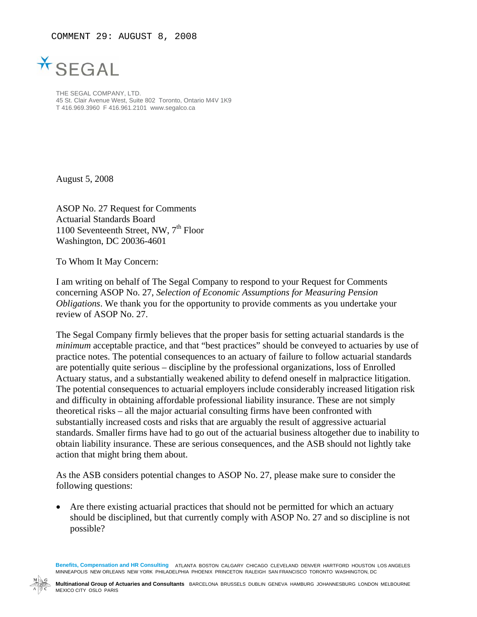COMMENT 29: AUGUST 8, 2008



THE SEGAL COMPANY, LTD. 45 St. Clair Avenue West, Suite 802 Toronto, Ontario M4V 1K9 T 416.969.3960 F 416.961.2101 www.segalco.ca

August 5, 2008

ASOP No. 27 Request for Comments Actuarial Standards Board 1100 Seventeenth Street, NW,  $7<sup>th</sup>$  Floor Washington, DC 20036-4601

To Whom It May Concern:

I am writing on behalf of The Segal Company to respond to your Request for Comments concerning ASOP No. 27, *Selection of Economic Assumptions for Measuring Pension Obligations*. We thank you for the opportunity to provide comments as you undertake your review of ASOP No. 27.

The Segal Company firmly believes that the proper basis for setting actuarial standards is the *minimum* acceptable practice, and that "best practices" should be conveyed to actuaries by use of practice notes. The potential consequences to an actuary of failure to follow actuarial standards are potentially quite serious – discipline by the professional organizations, loss of Enrolled Actuary status, and a substantially weakened ability to defend oneself in malpractice litigation. The potential consequences to actuarial employers include considerably increased litigation risk and difficulty in obtaining affordable professional liability insurance. These are not simply theoretical risks – all the major actuarial consulting firms have been confronted with substantially increased costs and risks that are arguably the result of aggressive actuarial standards. Smaller firms have had to go out of the actuarial business altogether due to inability to obtain liability insurance. These are serious consequences, and the ASB should not lightly take action that might bring them about.

As the ASB considers potential changes to ASOP No. 27, please make sure to consider the following questions:

Are there existing actuarial practices that should not be permitted for which an actuary should be disciplined, but that currently comply with ASOP No. 27 and so discipline is not possible?

**Benefits, Compensation and HR Consulting** ATLANTA BOSTON CALGARY CHICAGO CLEVELAND DENVER HARTFORD HOUSTON LOS ANGELES MINNEAPOLIS NEW ORLEANS NEW YORK PHILADELPHIA PHOENIX PRINCETON RALEIGH SAN FRANCISCO TORONTO WASHINGTON, DC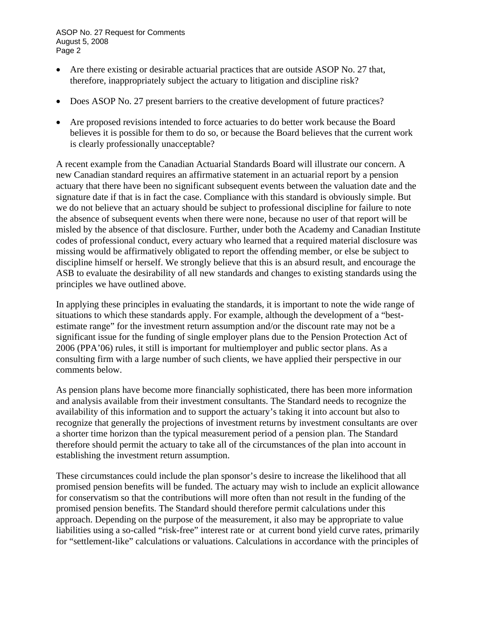ASOP No. 27 Request for Comments August 5, 2008 Page 2

- Are there existing or desirable actuarial practices that are outside ASOP No. 27 that, therefore, inappropriately subject the actuary to litigation and discipline risk?
- Does ASOP No. 27 present barriers to the creative development of future practices?
- Are proposed revisions intended to force actuaries to do better work because the Board believes it is possible for them to do so, or because the Board believes that the current work is clearly professionally unacceptable?

A recent example from the Canadian Actuarial Standards Board will illustrate our concern. A new Canadian standard requires an affirmative statement in an actuarial report by a pension actuary that there have been no significant subsequent events between the valuation date and the signature date if that is in fact the case. Compliance with this standard is obviously simple. But we do not believe that an actuary should be subject to professional discipline for failure to note the absence of subsequent events when there were none, because no user of that report will be misled by the absence of that disclosure. Further, under both the Academy and Canadian Institute codes of professional conduct, every actuary who learned that a required material disclosure was missing would be affirmatively obligated to report the offending member, or else be subject to discipline himself or herself. We strongly believe that this is an absurd result, and encourage the ASB to evaluate the desirability of all new standards and changes to existing standards using the principles we have outlined above.

In applying these principles in evaluating the standards, it is important to note the wide range of situations to which these standards apply. For example, although the development of a "bestestimate range" for the investment return assumption and/or the discount rate may not be a significant issue for the funding of single employer plans due to the Pension Protection Act of 2006 (PPA'06) rules, it still is important for multiemployer and public sector plans. As a consulting firm with a large number of such clients, we have applied their perspective in our comments below.

As pension plans have become more financially sophisticated, there has been more information and analysis available from their investment consultants. The Standard needs to recognize the availability of this information and to support the actuary's taking it into account but also to recognize that generally the projections of investment returns by investment consultants are over a shorter time horizon than the typical measurement period of a pension plan. The Standard therefore should permit the actuary to take all of the circumstances of the plan into account in establishing the investment return assumption.

These circumstances could include the plan sponsor's desire to increase the likelihood that all promised pension benefits will be funded. The actuary may wish to include an explicit allowance for conservatism so that the contributions will more often than not result in the funding of the promised pension benefits. The Standard should therefore permit calculations under this approach. Depending on the purpose of the measurement, it also may be appropriate to value liabilities using a so-called "risk-free" interest rate or at current bond yield curve rates, primarily for "settlement-like" calculations or valuations. Calculations in accordance with the principles of